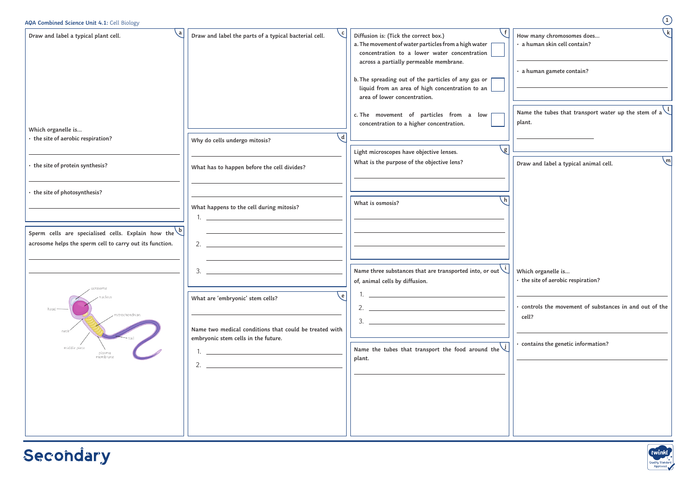| AQA Combined Science Unit 4.1: Cell Biology                                                                               |                                                                                                                  |                                                                                                                                                                                                                                                                                                                                   | $\bigcirc$                                                                                    |
|---------------------------------------------------------------------------------------------------------------------------|------------------------------------------------------------------------------------------------------------------|-----------------------------------------------------------------------------------------------------------------------------------------------------------------------------------------------------------------------------------------------------------------------------------------------------------------------------------|-----------------------------------------------------------------------------------------------|
| Draw and label a typical plant cell.                                                                                      | Draw and label the parts of a typical bacterial cell.                                                            | Diffusion is: (Tick the correct box.)<br>a. The movement of water particles from a high water<br>concentration to a lower water concentration<br>across a partially permeable membrane.<br>b. The spreading out of the particles of any gas or<br>liquid from an area of high concentration to an<br>area of lower concentration. | \ k<br>How many chromosomes does<br>· a human skin cell contain?<br>· a human gamete contain? |
| Which organelle is<br>• the site of aerobic respiration?                                                                  | -d<br>Why do cells undergo mitosis?                                                                              | c. The movement of particles from a low [<br>concentration to a higher concentration.                                                                                                                                                                                                                                             | Name the tubes that transport water up the stem of a $\setminus$<br>plant.                    |
| • the site of protein synthesis?                                                                                          | What has to happen before the cell divides?                                                                      | $\mathbf{g}$<br>Light microscopes have objective lenses.<br>What is the purpose of the objective lens?                                                                                                                                                                                                                            | m,<br>Draw and label a typical animal cell.                                                   |
| • the site of photosynthesis?                                                                                             | What happens to the cell during mitosis?<br>1.                                                                   | What is osmosis?                                                                                                                                                                                                                                                                                                                  |                                                                                               |
| Sperm cells are specialised cells. Explain how the $\Diamond$<br>acrosome helps the sperm cell to carry out its function. | 2. $\qquad \qquad$                                                                                               |                                                                                                                                                                                                                                                                                                                                   |                                                                                               |
| acrosom                                                                                                                   | 3.<br>. e l<br>What are 'embryonic' stem cells?                                                                  | Name three substances that are transported into, or out $\bigcup$<br>of, animal cells by diffusion.                                                                                                                                                                                                                               | Which organelle is<br>· the site of aerobic respiration?                                      |
| mitrochondrian<br>neck                                                                                                    | Name two medical conditions that could be treated with                                                           | 2.<br>3.                                                                                                                                                                                                                                                                                                                          | controls the movement of substances in and out of the<br>cell?                                |
| middle piece<br>plasma<br>membrane                                                                                        | embryonic stem cells in the future.<br><u> 1980 - Jan James James Barbara, president e</u><br>2. $\qquad \qquad$ | Name the tubes that transport the food around the $\vee$<br>plant.                                                                                                                                                                                                                                                                | contains the genetic information?                                                             |
|                                                                                                                           |                                                                                                                  |                                                                                                                                                                                                                                                                                                                                   |                                                                                               |

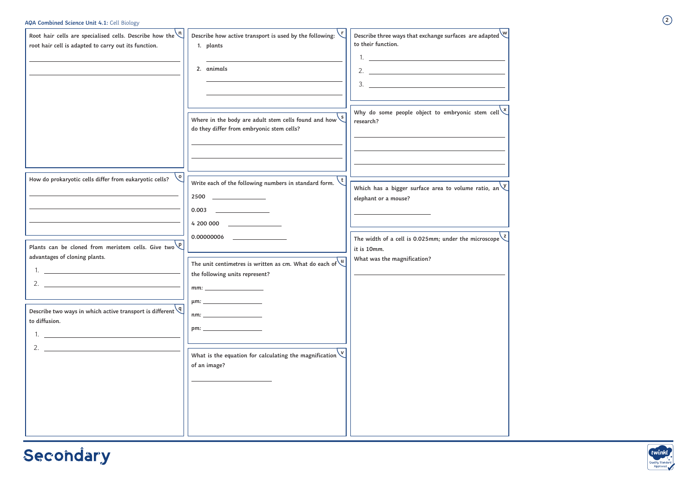| Root hair cells are specialised cells. Describe how the $\binom{n}{k}$<br>root hair cell is adapted to carry out its function. | Describe how active transport is used by the following:<br>1. plants<br>2. animals<br>Where in the body are adult stem cells found and how $\setminus$<br>do they differ from embryonic stem cells?                                                           | to their function.<br>2. $\frac{1}{2}$ $\frac{1}{2}$ $\frac{1}{2}$ $\frac{1}{2}$ $\frac{1}{2}$ $\frac{1}{2}$ $\frac{1}{2}$ $\frac{1}{2}$ $\frac{1}{2}$ $\frac{1}{2}$ $\frac{1}{2}$ $\frac{1}{2}$ $\frac{1}{2}$ $\frac{1}{2}$ $\frac{1}{2}$ $\frac{1}{2}$ $\frac{1}{2}$ $\frac{1}{2}$ $\frac{1}{2}$ $\frac{1}{2}$ $\frac{1}{2}$ $\frac{1}{2}$<br>3.<br>Why do some people object to embryonic stem cell $\frac{X}{X}$<br>research? |
|--------------------------------------------------------------------------------------------------------------------------------|---------------------------------------------------------------------------------------------------------------------------------------------------------------------------------------------------------------------------------------------------------------|-----------------------------------------------------------------------------------------------------------------------------------------------------------------------------------------------------------------------------------------------------------------------------------------------------------------------------------------------------------------------------------------------------------------------------------|
|                                                                                                                                |                                                                                                                                                                                                                                                               |                                                                                                                                                                                                                                                                                                                                                                                                                                   |
| How do prokaryotic cells differ from eukaryotic cells?                                                                         | Write each of the following numbers in standard form.<br>2500<br><u> The Communication of the Communication</u><br>0.003<br><u> 1980 - Jan Barbara Barat, prima populație de la provincia de la provincia de la provincia de la provincia de</u><br>4 200 000 | Which has a bigger surface area to volume ratio, an $\vee$<br>elephant or a mouse?                                                                                                                                                                                                                                                                                                                                                |
| Plants can be cloned from meristem cells. Give two $\sqrt{p}$<br>advantages of cloning plants.<br>2.                           | The unit centimetres is written as cm. What do each of $\sqrt{u}$<br>the following units represent?<br>mm:                                                                                                                                                    | The width of a cell is 0.025mm; under the microscope $\zeta$<br>it is 10mm.<br>What was the magnification?                                                                                                                                                                                                                                                                                                                        |
| Describe two ways in which active transport is different $\sqrt{q}$<br>to diffusion.<br>2.                                     | nm:<br>pm:<br>What is the equation for calculating the magnification $\vee$<br>of an image?                                                                                                                                                                   |                                                                                                                                                                                                                                                                                                                                                                                                                                   |
|                                                                                                                                |                                                                                                                                                                                                                                                               |                                                                                                                                                                                                                                                                                                                                                                                                                                   |

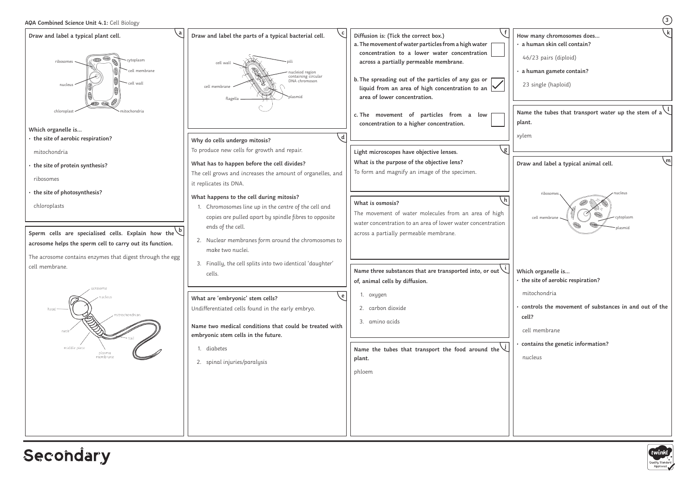